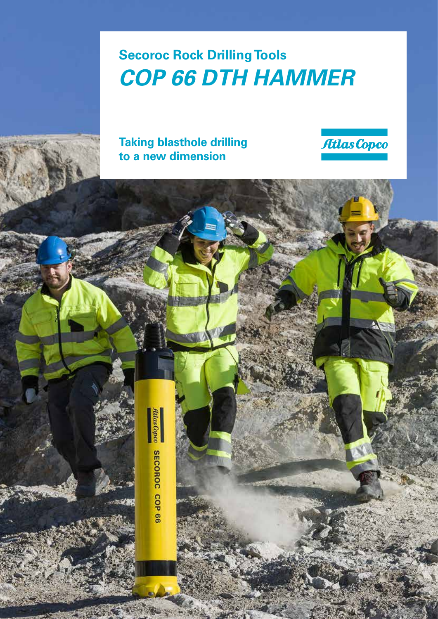# **Secoroc Rock Drilling Tools** *COP 66 DTH HAMMER*

**Taking blasthole drilling to a new dimension**



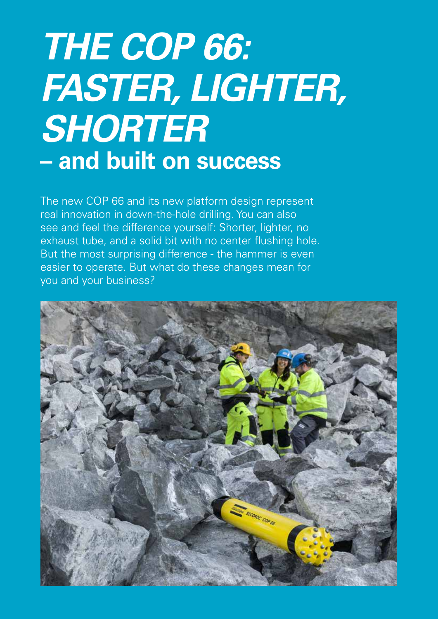# *THE COP 66: FASTER, LIGHTER, SHORTER* **– and built on success**

The new COP 66 and its new platform design represent real innovation in down-the-hole drilling. You can also see and feel the difference yourself: Shorter, lighter, no exhaust tube, and a solid bit with no center flushing hole. But the most surprising difference - the hammer is even easier to operate. But what do these changes mean for you and your business?

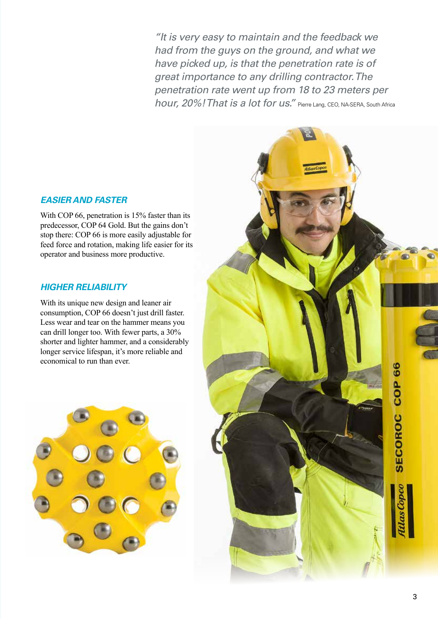*"It is very easy to maintain and the feedback we had from the guys on the ground, and what we have picked up, is that the penetration rate is of great importance to any drilling contractor. The penetration rate went up from 18 to 23 meters per hour, 20%! That is a lot for us.*" Pierre Lang, CEO, NA-SERA, South Africa

#### *EASIER AND FASTER*

With COP 66, penetration is 15% faster than its predecessor, COP 64 Gold. But the gains don't stop there: COP 66 is more easily adjustable for feed force and rotation, making life easier for its operator and business more productive.

### *HIGHER RELIABILITY*

With its unique new design and leaner air consumption, COP 66 doesn't just drill faster. Less wear and tear on the hammer means you can drill longer too. With fewer parts, a 30% shorter and lighter hammer, and a considerably longer service lifespan, it's more reliable and economical to run than ever.



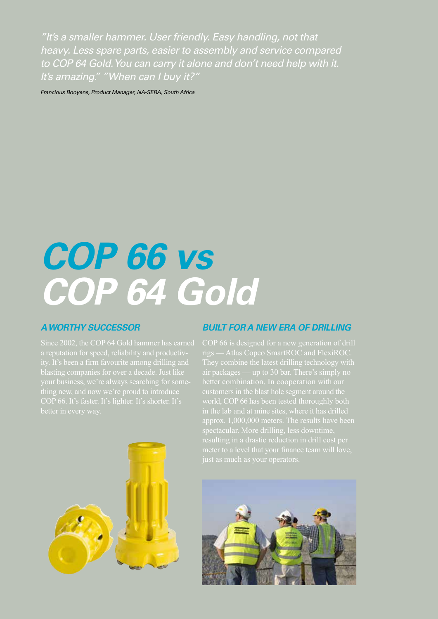*"It's a smaller hammer. User friendly. Easy handling, not that heavy. Less spare parts, easier to assembly and service compared to COP 64 Gold. You can carry it alone and don't need help with it. It's amazing." "When can I buy it?"* 

*Francious Booyens, Product Manager, NA-SERA, South Africa*

# *COP 66 vs COP 64 Gold*

### *A WORTHY SUCCESSOR*

Since 2002, the COP 64 Gold hammer has earned a reputation for speed, reliability and productiv-



rigs — Atlas Copco SmartROC and FlexiROC. better combination. In cooperation with our world, COP 66 has been tested thoroughly both approx. 1,000,000 meters. The results have been resulting in a drastic reduction in drill cost per



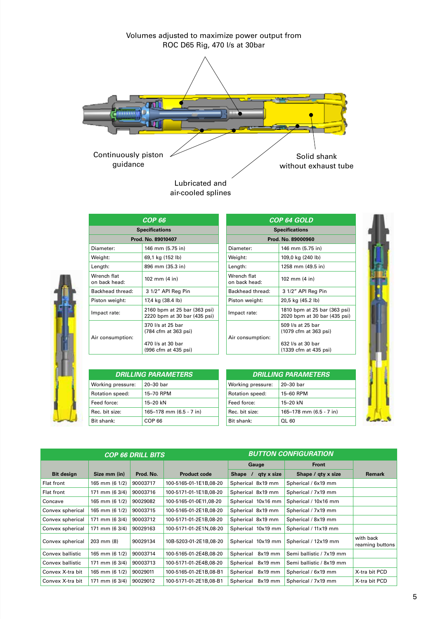

air-cooled splines

| COP 66                       |                                                                                        |  |  |  |
|------------------------------|----------------------------------------------------------------------------------------|--|--|--|
| <b>Specifications</b>        |                                                                                        |  |  |  |
| Prod. No. 89010407           |                                                                                        |  |  |  |
| Diameter:                    | 146 mm (5.75 in)                                                                       |  |  |  |
| Weight:                      | 69,1 kg (152 lb)                                                                       |  |  |  |
| Length:                      | 896 mm (35.3 in)                                                                       |  |  |  |
| Wrench flat<br>on back head: | 102 mm (4 in)                                                                          |  |  |  |
| Backhead thread:             | 3 1/2" API Reg Pin                                                                     |  |  |  |
| Piston weight:               | 17,4 kg (38.4 lb)                                                                      |  |  |  |
| Impact rate:                 | 2160 bpm at 25 bar (363 psi)<br>2220 bpm at 30 bar (435 psi)                           |  |  |  |
| Air consumption:             | 370 l/s at 25 bar<br>(784 cfm at 363 psi)<br>470 l/s at 30 bar<br>(996 cfm at 435 psi) |  |  |  |
|                              |                                                                                        |  |  |  |

| COP 64 GOLD                  |                                                              |  |  |  |
|------------------------------|--------------------------------------------------------------|--|--|--|
| <b>Specifications</b>        |                                                              |  |  |  |
| Prod. No. 89000960           |                                                              |  |  |  |
| Diameter:                    | 146 mm (5.75 in)                                             |  |  |  |
| Weight:                      | 109,0 kg (240 lb)                                            |  |  |  |
| Length:                      | 1258 mm (49.5 in)                                            |  |  |  |
| Wrench flat<br>on back head: | 102 mm (4 in)                                                |  |  |  |
| Backhead thread:             | 3 1/2" API Reg Pin                                           |  |  |  |
| Piston weight:               | 20,5 kg (45.2 lb)                                            |  |  |  |
| Impact rate:                 | 1810 bpm at 25 bar (363 psi)<br>2020 bpm at 30 bar (435 psi) |  |  |  |
| Air consumption:             | 509 l/s at 25 bar<br>(1079 cfm at 363 psi)                   |  |  |  |
|                              | 632 l/s at 30 bar<br>(1339 cfm at 435 psi)                   |  |  |  |

| DRILLING PARAMETERS <b>"</b> |                         | <b>DRILLING PARAMETERS</b> |                         |
|------------------------------|-------------------------|----------------------------|-------------------------|
| Working pressure:            | $20-30$ bar             | Working pressure:          | 20-30 bar               |
| Rotation speed:              | 15-70 RPM               | Rotation speed:            | 15-60 RPM               |
| Feed force:                  | 15-20 kN                | Feed force:                | 15-20 kN                |
| Rec. bit size:               | 165-178 mm (6.5 - 7 in) | Rec. bit size:             | 165-178 mm (6.5 - 7 in) |
| Bit shank:                   | COP 66                  | Bit shank:                 | OL 60                   |

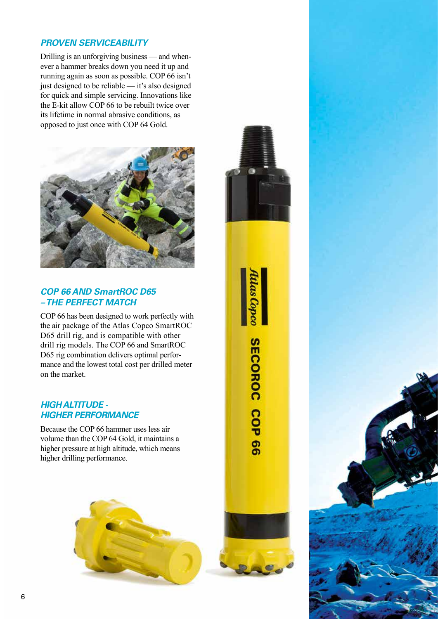## *PROVEN SERVICEABILITY*

Drilling is an unforgiving business — and whenever a hammer breaks down you need it up and running again as soon as possible. COP 66 isn't just designed to be reliable — it's also designed for quick and simple servicing. Innovations like the E-kit allow COP 66 to be rebuilt twice over its lifetime in normal abrasive conditions, as opposed to just once with COP 64 Gold.



### *COP 66 AND SmartROC D65 – THE PERFECT MATCH*

COP 66 has been designed to work perfectly with the air package of the Atlas Copco SmartROC D65 drill rig, and is compatible with other drill rig models. The COP 66 and SmartROC D65 rig combination delivers optimal performance and the lowest total cost per drilled meter on the market.

#### *HIGH ALTITUDE - HIGHER PERFORMANCE*

Because the COP 66 hammer uses less air volume than the COP 64 Gold, it maintains a higher pressure at high altitude, which means higher drilling performance.





**SECOROC COP 66** 

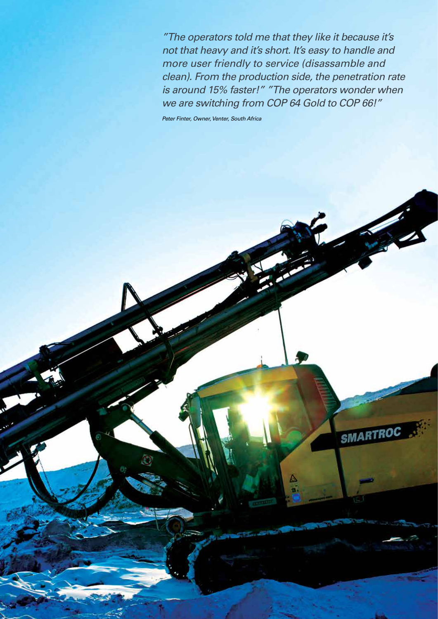*"The operators told me that they like it because it's not that heavy and it's short. It's easy to handle and more user friendly to service (disassamble and clean). From the production side, the penetration rate is around 15% faster!" "The operators wonder when we are switching from COP 64 Gold to COP 66!"*

SMAR1

*Peter Finter, Owner, Venter, South Africa*